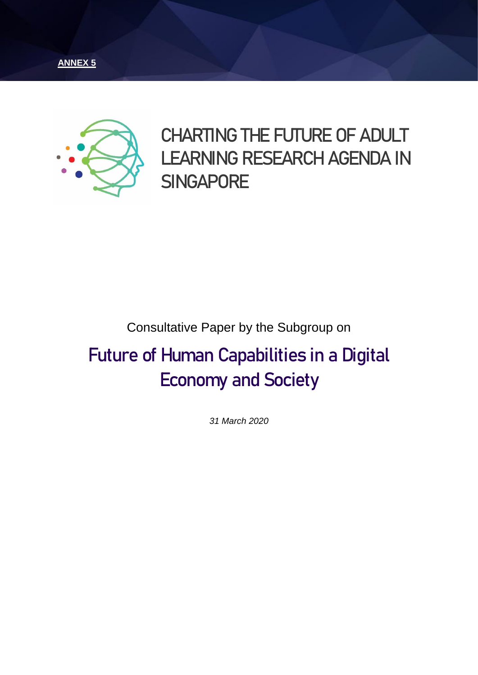



**CHARTING THE FUTURE OF ADULT LEARNING RESEARCH AGENDA IN SINGAPORE**

### Consultative Paper by the Subgroup on

# **Future of Human Capabilities in a Digital Economy and Society**

*31 March 2020*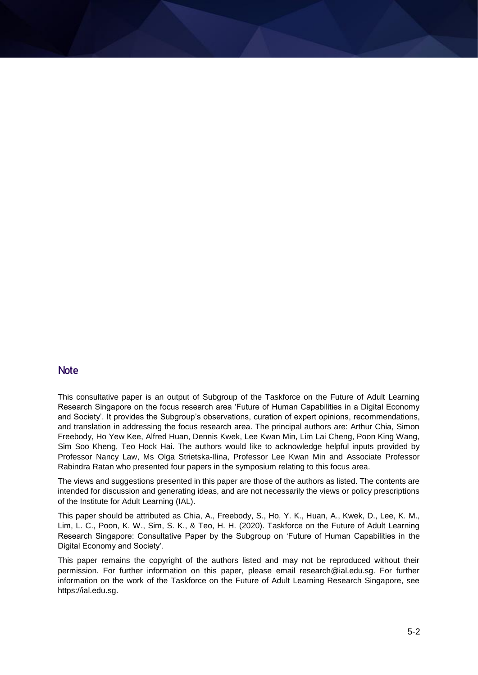#### **Note**

This consultative paper is an output of Subgroup of the Taskforce on the Future of Adult Learning Research Singapore on the focus research area 'Future of Human Capabilities in a Digital Economy and Society'. It provides the Subgroup's observations, curation of expert opinions, recommendations, and translation in addressing the focus research area. The principal authors are: Arthur Chia, Simon Freebody, Ho Yew Kee, Alfred Huan, Dennis Kwek, Lee Kwan Min, Lim Lai Cheng, Poon King Wang, Sim Soo Kheng, Teo Hock Hai. The authors would like to acknowledge helpful inputs provided by Professor Nancy Law, Ms Olga Strietska-Ilina, Professor Lee Kwan Min and Associate Professor Rabindra Ratan who presented four papers in the symposium relating to this focus area.

The views and suggestions presented in this paper are those of the authors as listed. The contents are intended for discussion and generating ideas, and are not necessarily the views or policy prescriptions of the Institute for Adult Learning (IAL).

This paper should be attributed as Chia, A., Freebody, S., Ho, Y. K., Huan, A., Kwek, D., Lee, K. M., Lim, L. C., Poon, K. W., Sim, S. K., & Teo, H. H. (2020). Taskforce on the Future of Adult Learning Research Singapore: Consultative Paper by the Subgroup on 'Future of Human Capabilities in the Digital Economy and Society'.

This paper remains the copyright of the authors listed and may not be reproduced without their permission. For further information on this paper, please email research@ial.edu.sg. For further information on the work of the Taskforce on the Future of Adult Learning Research Singapore, see [https://ial.edu.sg.](https://ial.edu.sg/)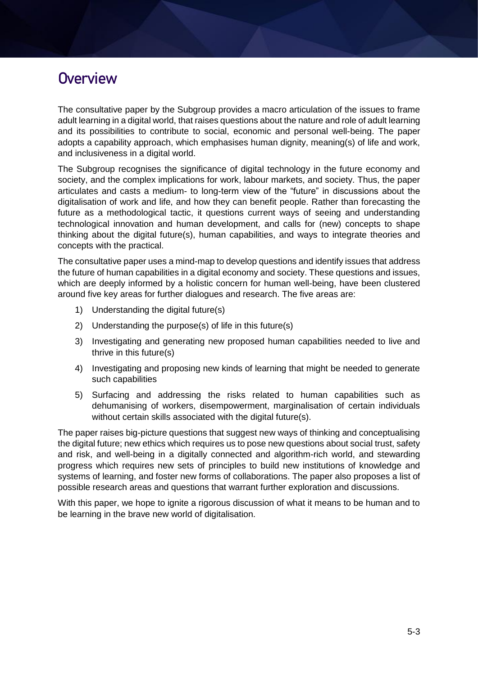### **Overview**

The consultative paper by the Subgroup provides a macro articulation of the issues to frame adult learning in a digital world, that raises questions about the nature and role of adult learning and its possibilities to contribute to social, economic and personal well-being. The paper adopts a capability approach, which emphasises human dignity, meaning(s) of life and work, and inclusiveness in a digital world.

The Subgroup recognises the significance of digital technology in the future economy and society, and the complex implications for work, labour markets, and society. Thus, the paper articulates and casts a medium- to long-term view of the "future" in discussions about the digitalisation of work and life, and how they can benefit people. Rather than forecasting the future as a methodological tactic, it questions current ways of seeing and understanding technological innovation and human development, and calls for (new) concepts to shape thinking about the digital future(s), human capabilities, and ways to integrate theories and concepts with the practical.

The consultative paper uses a mind-map to develop questions and identify issues that address the future of human capabilities in a digital economy and society. These questions and issues, which are deeply informed by a holistic concern for human well-being, have been clustered around five key areas for further dialogues and research. The five areas are:

- 1) Understanding the digital future(s)
- 2) Understanding the purpose(s) of life in this future(s)
- 3) Investigating and generating new proposed human capabilities needed to live and thrive in this future(s)
- 4) Investigating and proposing new kinds of learning that might be needed to generate such capabilities
- 5) Surfacing and addressing the risks related to human capabilities such as dehumanising of workers, disempowerment, marginalisation of certain individuals without certain skills associated with the digital future(s).

The paper raises big-picture questions that suggest new ways of thinking and conceptualising the digital future; new ethics which requires us to pose new questions about social trust, safety and risk, and well-being in a digitally connected and algorithm-rich world, and stewarding progress which requires new sets of principles to build new institutions of knowledge and systems of learning, and foster new forms of collaborations. The paper also proposes a list of possible research areas and questions that warrant further exploration and discussions.

With this paper, we hope to ignite a rigorous discussion of what it means to be human and to be learning in the brave new world of digitalisation.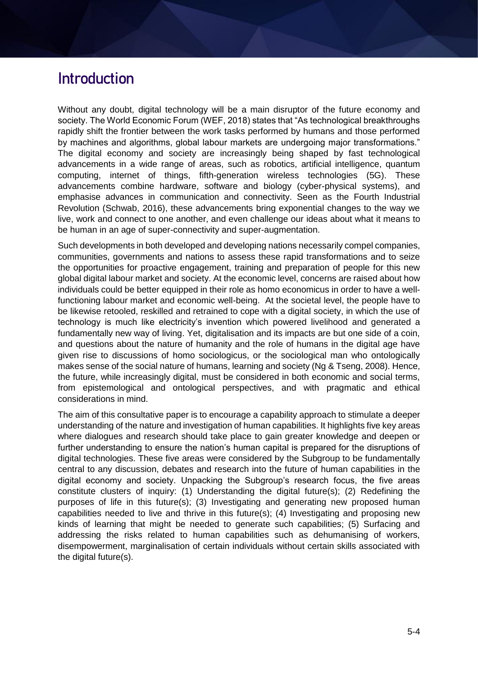### **Introduction**

Without any doubt, digital technology will be a main disruptor of the future economy and society. The World Economic Forum (WEF, 2018) states that "As technological breakthroughs rapidly shift the frontier between the work tasks performed by humans and those performed by machines and algorithms, global labour markets are undergoing major transformations." The digital economy and society are increasingly being shaped by fast technological advancements in a wide range of areas, such as robotics, artificial intelligence, quantum computing, internet of things, fifth-generation wireless technologies (5G). These advancements combine hardware, software and biology (cyber-physical systems), and emphasise advances in communication and connectivity. Seen as the Fourth Industrial Revolution (Schwab, 2016), these advancements bring exponential changes to the way we live, work and connect to one another, and even challenge our ideas about what it means to be human in an age of super-connectivity and super-augmentation.

Such developments in both developed and developing nations necessarily compel companies, communities, governments and nations to assess these rapid transformations and to seize the opportunities for proactive engagement, training and preparation of people for this new global digital labour market and society. At the economic level, concerns are raised about how individuals could be better equipped in their role as homo economicus in order to have a wellfunctioning labour market and economic well-being. At the societal level, the people have to be likewise retooled, reskilled and retrained to cope with a digital society, in which the use of technology is much like electricity's invention which powered livelihood and generated a fundamentally new way of living. Yet, digitalisation and its impacts are but one side of a coin, and questions about the nature of humanity and the role of humans in the digital age have given rise to discussions of homo sociologicus, or the sociological man who ontologically makes sense of the social nature of humans, learning and society (Ng & Tseng, 2008). Hence, the future, while increasingly digital, must be considered in both economic and social terms, from epistemological and ontological perspectives, and with pragmatic and ethical considerations in mind.

The aim of this consultative paper is to encourage a capability approach to stimulate a deeper understanding of the nature and investigation of human capabilities. It highlights five key areas where dialogues and research should take place to gain greater knowledge and deepen or further understanding to ensure the nation's human capital is prepared for the disruptions of digital technologies. These five areas were considered by the Subgroup to be fundamentally central to any discussion, debates and research into the future of human capabilities in the digital economy and society. Unpacking the Subgroup's research focus, the five areas constitute clusters of inquiry: (1) Understanding the digital future(s); (2) Redefining the purposes of life in this future(s); (3) Investigating and generating new proposed human capabilities needed to live and thrive in this future(s); (4) Investigating and proposing new kinds of learning that might be needed to generate such capabilities; (5) Surfacing and addressing the risks related to human capabilities such as dehumanising of workers, disempowerment, marginalisation of certain individuals without certain skills associated with the digital future(s).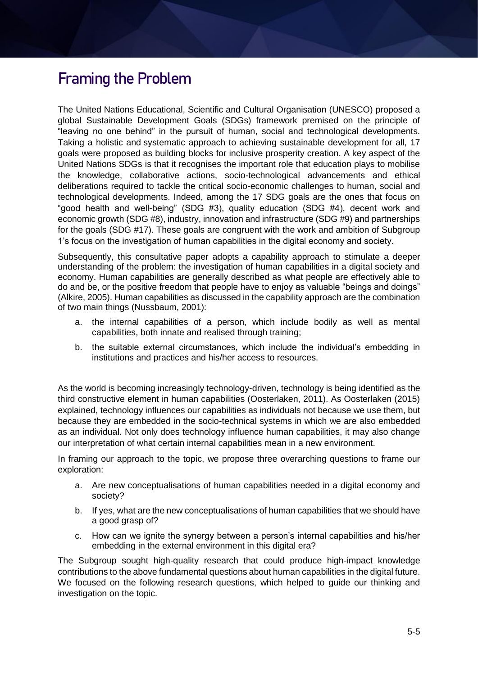## **Framing the Problem**

The United Nations Educational, Scientific and Cultural Organisation (UNESCO) proposed a global Sustainable Development Goals (SDGs) framework premised on the principle of "leaving no one behind" in the pursuit of human, social and technological developments. Taking a holistic and systematic approach to achieving sustainable development for all, 17 goals were proposed as building blocks for inclusive prosperity creation. A key aspect of the United Nations SDGs is that it recognises the important role that education plays to mobilise the knowledge, collaborative actions, socio-technological advancements and ethical deliberations required to tackle the critical socio-economic challenges to human, social and technological developments. Indeed, among the 17 SDG goals are the ones that focus on "good health and well-being" (SDG #3), quality education (SDG #4), decent work and economic growth (SDG #8), industry, innovation and infrastructure (SDG #9) and partnerships for the goals (SDG #17). These goals are congruent with the work and ambition of Subgroup 1's focus on the investigation of human capabilities in the digital economy and society.

Subsequently, this consultative paper adopts a capability approach to stimulate a deeper understanding of the problem: the investigation of human capabilities in a digital society and economy. Human capabilities are generally described as what people are effectively able to do and be, or the positive freedom that people have to enjoy as valuable "beings and doings" (Alkire, 2005). Human capabilities as discussed in the capability approach are the combination of two main things (Nussbaum, 2001):

- a. the internal capabilities of a person, which include bodily as well as mental capabilities, both innate and realised through training;
- b. the suitable external circumstances, which include the individual's embedding in institutions and practices and his/her access to resources.

As the world is becoming increasingly technology-driven, technology is being identified as the third constructive element in human capabilities (Oosterlaken, 2011). As Oosterlaken (2015) explained, technology influences our capabilities as individuals not because we use them, but because they are embedded in the socio-technical systems in which we are also embedded as an individual. Not only does technology influence human capabilities, it may also change our interpretation of what certain internal capabilities mean in a new environment.

In framing our approach to the topic, we propose three overarching questions to frame our exploration:

- a. Are new conceptualisations of human capabilities needed in a digital economy and society?
- b. If yes, what are the new conceptualisations of human capabilities that we should have a good grasp of?
- c. How can we ignite the synergy between a person's internal capabilities and his/her embedding in the external environment in this digital era?

The Subgroup sought high-quality research that could produce high-impact knowledge contributions to the above fundamental questions about human capabilities in the digital future. We focused on the following research questions, which helped to guide our thinking and investigation on the topic.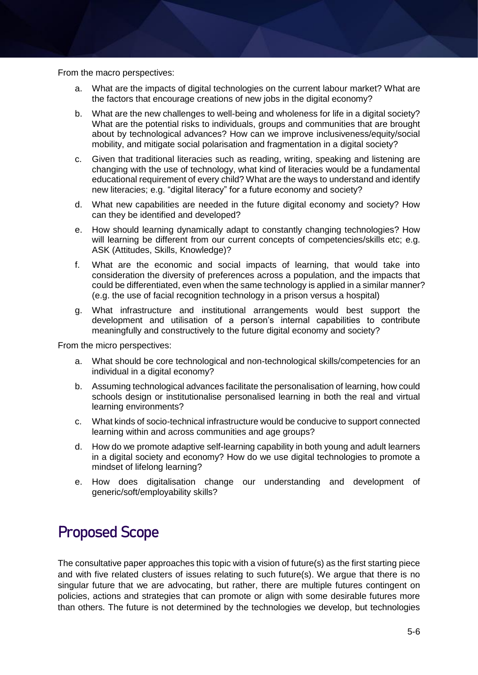From the macro perspectives:

- a. What are the impacts of digital technologies on the current labour market? What are the factors that encourage creations of new jobs in the digital economy?
- b. What are the new challenges to well-being and wholeness for life in a digital society? What are the potential risks to individuals, groups and communities that are brought about by technological advances? How can we improve inclusiveness/equity/social mobility, and mitigate social polarisation and fragmentation in a digital society?
- c. Given that traditional literacies such as reading, writing, speaking and listening are changing with the use of technology, what kind of literacies would be a fundamental educational requirement of every child? What are the ways to understand and identify new literacies; e.g. "digital literacy" for a future economy and society?
- d. What new capabilities are needed in the future digital economy and society? How can they be identified and developed?
- e. How should learning dynamically adapt to constantly changing technologies? How will learning be different from our current concepts of competencies/skills etc; e.g. ASK (Attitudes, Skills, Knowledge)?
- f. What are the economic and social impacts of learning, that would take into consideration the diversity of preferences across a population, and the impacts that could be differentiated, even when the same technology is applied in a similar manner? (e.g. the use of facial recognition technology in a prison versus a hospital)
- g. What infrastructure and institutional arrangements would best support the development and utilisation of a person's internal capabilities to contribute meaningfully and constructively to the future digital economy and society?

From the micro perspectives:

- a. What should be core technological and non-technological skills/competencies for an individual in a digital economy?
- b. Assuming technological advances facilitate the personalisation of learning, how could schools design or institutionalise personalised learning in both the real and virtual learning environments?
- c. What kinds of socio-technical infrastructure would be conducive to support connected learning within and across communities and age groups?
- d. How do we promote adaptive self-learning capability in both young and adult learners in a digital society and economy? How do we use digital technologies to promote a mindset of lifelong learning?
- e. How does digitalisation change our understanding and development of generic/soft/employability skills?

### **Proposed Scope**

The consultative paper approaches this topic with a vision of future(s) as the first starting piece and with five related clusters of issues relating to such future(s). We argue that there is no singular future that we are advocating, but rather, there are multiple futures contingent on policies, actions and strategies that can promote or align with some desirable futures more than others. The future is not determined by the technologies we develop, but technologies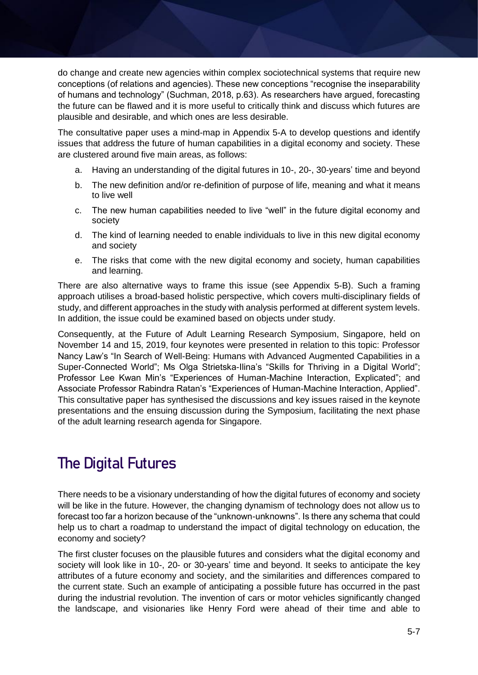do change and create new agencies within complex sociotechnical systems that require new conceptions (of relations and agencies). These new conceptions "recognise the inseparability of humans and technology" (Suchman, 2018, p.63). As researchers have argued, forecasting the future can be flawed and it is more useful to critically think and discuss which futures are plausible and desirable, and which ones are less desirable.

The consultative paper uses a mind-map in Appendix 5-A to develop questions and identify issues that address the future of human capabilities in a digital economy and society. These are clustered around five main areas, as follows:

- a. Having an understanding of the digital futures in 10-, 20-, 30-years' time and beyond
- b. The new definition and/or re-definition of purpose of life, meaning and what it means to live well
- c. The new human capabilities needed to live "well" in the future digital economy and society
- d. The kind of learning needed to enable individuals to live in this new digital economy and society
- e. The risks that come with the new digital economy and society, human capabilities and learning.

There are also alternative ways to frame this issue (see Appendix 5-B). Such a framing approach utilises a broad-based holistic perspective, which covers multi-disciplinary fields of study, and different approaches in the study with analysis performed at different system levels. In addition, the issue could be examined based on objects under study.

Consequently, at the Future of Adult Learning Research Symposium, Singapore, held on November 14 and 15, 2019, four keynotes were presented in relation to this topic: Professor Nancy Law's "In Search of Well-Being: Humans with Advanced Augmented Capabilities in a Super-Connected World"; Ms Olga Strietska-Ilina's "Skills for Thriving in a Digital World"; Professor Lee Kwan Min's "Experiences of Human-Machine Interaction, Explicated"; and Associate Professor Rabindra Ratan's "Experiences of Human-Machine Interaction, Applied". This consultative paper has synthesised the discussions and key issues raised in the keynote presentations and the ensuing discussion during the Symposium, facilitating the next phase of the adult learning research agenda for Singapore.

# **The Digital Futures**

There needs to be a visionary understanding of how the digital futures of economy and society will be like in the future. However, the changing dynamism of technology does not allow us to forecast too far a horizon because of the "unknown-unknowns". Is there any schema that could help us to chart a roadmap to understand the impact of digital technology on education, the economy and society?

The first cluster focuses on the plausible futures and considers what the digital economy and society will look like in 10-, 20- or 30-years' time and beyond. It seeks to anticipate the key attributes of a future economy and society, and the similarities and differences compared to the current state. Such an example of anticipating a possible future has occurred in the past during the industrial revolution. The invention of cars or motor vehicles significantly changed the landscape, and visionaries like Henry Ford were ahead of their time and able to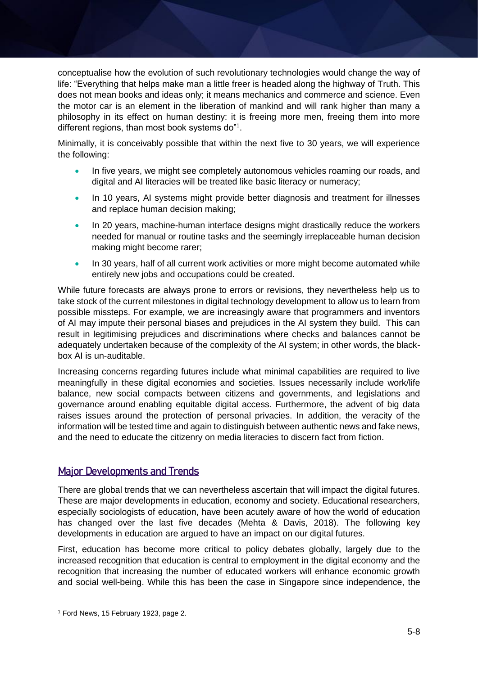conceptualise how the evolution of such revolutionary technologies would change the way of life: "Everything that helps make man a little freer is headed along the highway of Truth. This does not mean books and ideas only; it means mechanics and commerce and science. Even the motor car is an element in the liberation of mankind and will rank higher than many a philosophy in its effect on human destiny: it is freeing more men, freeing them into more different regions, than most book systems do"<sup>1</sup>.

Minimally, it is conceivably possible that within the next five to 30 years, we will experience the following:

- In five years, we might see completely autonomous vehicles roaming our roads, and digital and AI literacies will be treated like basic literacy or numeracy;
- In 10 years, AI systems might provide better diagnosis and treatment for illnesses and replace human decision making;
- In 20 years, machine-human interface designs might drastically reduce the workers needed for manual or routine tasks and the seemingly irreplaceable human decision making might become rarer;
- In 30 years, half of all current work activities or more might become automated while entirely new jobs and occupations could be created.

While future forecasts are always prone to errors or revisions, they nevertheless help us to take stock of the current milestones in digital technology development to allow us to learn from possible missteps. For example, we are increasingly aware that programmers and inventors of AI may impute their personal biases and prejudices in the AI system they build. This can result in legitimising prejudices and discriminations where checks and balances cannot be adequately undertaken because of the complexity of the AI system; in other words, the blackbox AI is un-auditable.

Increasing concerns regarding futures include what minimal capabilities are required to live meaningfully in these digital economies and societies. Issues necessarily include work/life balance, new social compacts between citizens and governments, and legislations and governance around enabling equitable digital access. Furthermore, the advent of big data raises issues around the protection of personal privacies. In addition, the veracity of the information will be tested time and again to distinguish between authentic news and fake news, and the need to educate the citizenry on media literacies to discern fact from fiction.

#### Major Developments and Trends

There are global trends that we can nevertheless ascertain that will impact the digital futures. These are major developments in education, economy and society. Educational researchers, especially sociologists of education, have been acutely aware of how the world of education has changed over the last five decades (Mehta & Davis, 2018). The following key developments in education are argued to have an impact on our digital futures.

First, education has become more critical to policy debates globally, largely due to the increased recognition that education is central to employment in the digital economy and the recognition that increasing the number of educated workers will enhance economic growth and social well-being. While this has been the case in Singapore since independence, the

-

<sup>1</sup> Ford News, 15 February 1923, page 2.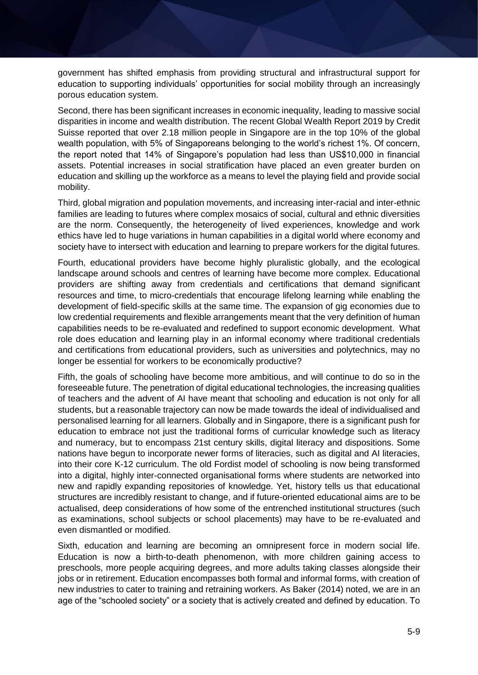government has shifted emphasis from providing structural and infrastructural support for education to supporting individuals' opportunities for social mobility through an increasingly porous education system.

Second, there has been significant increases in economic inequality, leading to massive social disparities in income and wealth distribution. The recent Global Wealth Report 2019 by Credit Suisse reported that over 2.18 million people in Singapore are in the top 10% of the global wealth population, with 5% of Singaporeans belonging to the world's richest 1%. Of concern, the report noted that 14% of Singapore's population had less than US\$10,000 in financial assets. Potential increases in social stratification have placed an even greater burden on education and skilling up the workforce as a means to level the playing field and provide social mobility.

Third, global migration and population movements, and increasing inter-racial and inter-ethnic families are leading to futures where complex mosaics of social, cultural and ethnic diversities are the norm. Consequently, the heterogeneity of lived experiences, knowledge and work ethics have led to huge variations in human capabilities in a digital world where economy and society have to intersect with education and learning to prepare workers for the digital futures.

Fourth, educational providers have become highly pluralistic globally, and the ecological landscape around schools and centres of learning have become more complex. Educational providers are shifting away from credentials and certifications that demand significant resources and time, to micro-credentials that encourage lifelong learning while enabling the development of field-specific skills at the same time. The expansion of gig economies due to low credential requirements and flexible arrangements meant that the very definition of human capabilities needs to be re-evaluated and redefined to support economic development. What role does education and learning play in an informal economy where traditional credentials and certifications from educational providers, such as universities and polytechnics, may no longer be essential for workers to be economically productive?

Fifth, the goals of schooling have become more ambitious, and will continue to do so in the foreseeable future. The penetration of digital educational technologies, the increasing qualities of teachers and the advent of AI have meant that schooling and education is not only for all students, but a reasonable trajectory can now be made towards the ideal of individualised and personalised learning for all learners. Globally and in Singapore, there is a significant push for education to embrace not just the traditional forms of curricular knowledge such as literacy and numeracy, but to encompass 21st century skills, digital literacy and dispositions. Some nations have begun to incorporate newer forms of literacies, such as digital and AI literacies, into their core K-12 curriculum. The old Fordist model of schooling is now being transformed into a digital, highly inter-connected organisational forms where students are networked into new and rapidly expanding repositories of knowledge. Yet, history tells us that educational structures are incredibly resistant to change, and if future-oriented educational aims are to be actualised, deep considerations of how some of the entrenched institutional structures (such as examinations, school subjects or school placements) may have to be re-evaluated and even dismantled or modified.

Sixth, education and learning are becoming an omnipresent force in modern social life. Education is now a birth-to-death phenomenon, with more children gaining access to preschools, more people acquiring degrees, and more adults taking classes alongside their jobs or in retirement. Education encompasses both formal and informal forms, with creation of new industries to cater to training and retraining workers. As Baker (2014) noted, we are in an age of the "schooled society" or a society that is actively created and defined by education. To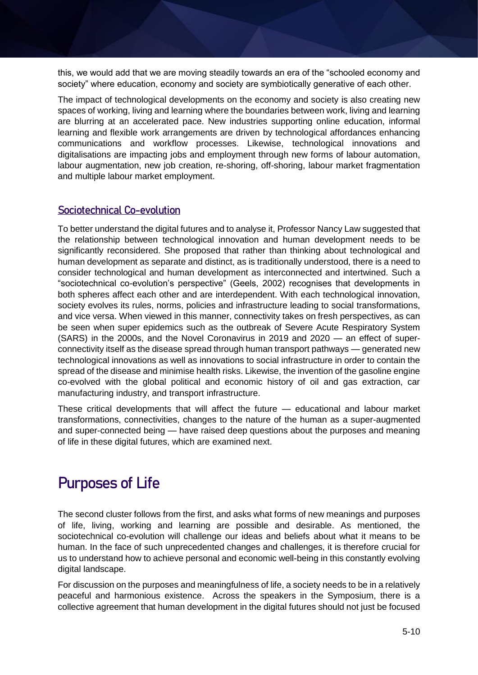this, we would add that we are moving steadily towards an era of the "schooled economy and society" where education, economy and society are symbiotically generative of each other.

The impact of technological developments on the economy and society is also creating new spaces of working, living and learning where the boundaries between work, living and learning are blurring at an accelerated pace. New industries supporting online education, informal learning and flexible work arrangements are driven by technological affordances enhancing communications and workflow processes. Likewise, technological innovations and digitalisations are impacting jobs and employment through new forms of labour automation, labour augmentation, new job creation, re-shoring, off-shoring, labour market fragmentation and multiple labour market employment.

#### Sociotechnical Co-evolution

To better understand the digital futures and to analyse it, Professor Nancy Law suggested that the relationship between technological innovation and human development needs to be significantly reconsidered. She proposed that rather than thinking about technological and human development as separate and distinct, as is traditionally understood, there is a need to consider technological and human development as interconnected and intertwined. Such a "sociotechnical co-evolution's perspective" (Geels, 2002) recognises that developments in both spheres affect each other and are interdependent. With each technological innovation, society evolves its rules, norms, policies and infrastructure leading to social transformations, and vice versa. When viewed in this manner, connectivity takes on fresh perspectives, as can be seen when super epidemics such as the outbreak of Severe Acute Respiratory System (SARS) in the 2000s, and the Novel Coronavirus in 2019 and 2020 — an effect of superconnectivity itself as the disease spread through human transport pathways — generated new technological innovations as well as innovations to social infrastructure in order to contain the spread of the disease and minimise health risks. Likewise, the invention of the gasoline engine co-evolved with the global political and economic history of oil and gas extraction, car manufacturing industry, and transport infrastructure.

These critical developments that will affect the future — educational and labour market transformations, connectivities, changes to the nature of the human as a super-augmented and super-connected being — have raised deep questions about the purposes and meaning of life in these digital futures, which are examined next.

### **Purposes of Life**

The second cluster follows from the first, and asks what forms of new meanings and purposes of life, living, working and learning are possible and desirable. As mentioned, the sociotechnical co-evolution will challenge our ideas and beliefs about what it means to be human. In the face of such unprecedented changes and challenges, it is therefore crucial for us to understand how to achieve personal and economic well-being in this constantly evolving digital landscape.

For discussion on the purposes and meaningfulness of life, a society needs to be in a relatively peaceful and harmonious existence. Across the speakers in the Symposium, there is a collective agreement that human development in the digital futures should not just be focused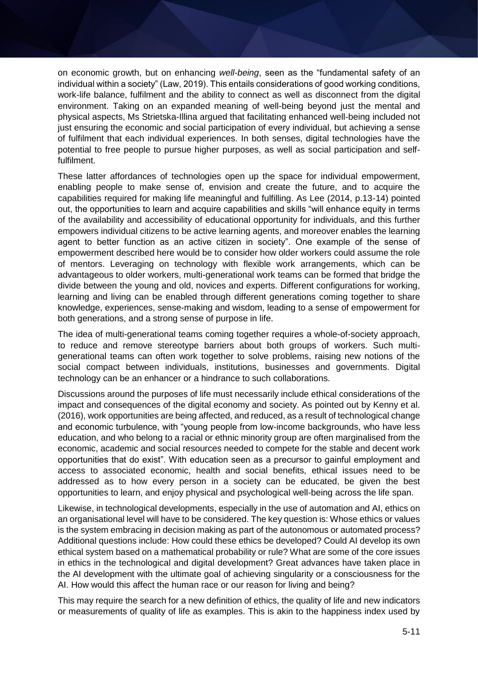on economic growth, but on enhancing *well-being*, seen as the "fundamental safety of an individual within a society" (Law, 2019). This entails considerations of good working conditions, work-life balance, fulfilment and the ability to connect as well as disconnect from the digital environment. Taking on an expanded meaning of well-being beyond just the mental and physical aspects, Ms Strietska-Illina argued that facilitating enhanced well-being included not just ensuring the economic and social participation of every individual, but achieving a sense of fulfilment that each individual experiences. In both senses, digital technologies have the potential to free people to pursue higher purposes, as well as social participation and selffulfilment.

These latter affordances of technologies open up the space for individual empowerment, enabling people to make sense of, envision and create the future, and to acquire the capabilities required for making life meaningful and fulfilling. As Lee (2014, p.13-14) pointed out, the opportunities to learn and acquire capabilities and skills "will enhance equity in terms of the availability and accessibility of educational opportunity for individuals, and this further empowers individual citizens to be active learning agents, and moreover enables the learning agent to better function as an active citizen in society". One example of the sense of empowerment described here would be to consider how older workers could assume the role of mentors. Leveraging on technology with flexible work arrangements, which can be advantageous to older workers, multi-generational work teams can be formed that bridge the divide between the young and old, novices and experts. Different configurations for working, learning and living can be enabled through different generations coming together to share knowledge, experiences, sense-making and wisdom, leading to a sense of empowerment for both generations, and a strong sense of purpose in life.

The idea of multi-generational teams coming together requires a whole-of-society approach, to reduce and remove stereotype barriers about both groups of workers. Such multigenerational teams can often work together to solve problems, raising new notions of the social compact between individuals, institutions, businesses and governments. Digital technology can be an enhancer or a hindrance to such collaborations.

Discussions around the purposes of life must necessarily include ethical considerations of the impact and consequences of the digital economy and society. As pointed out by Kenny et al. (2016), work opportunities are being affected, and reduced, as a result of technological change and economic turbulence, with "young people from low-income backgrounds, who have less education, and who belong to a racial or ethnic minority group are often marginalised from the economic, academic and social resources needed to compete for the stable and decent work opportunities that do exist". With education seen as a precursor to gainful employment and access to associated economic, health and social benefits, ethical issues need to be addressed as to how every person in a society can be educated, be given the best opportunities to learn, and enjoy physical and psychological well-being across the life span.

Likewise, in technological developments, especially in the use of automation and AI, ethics on an organisational level will have to be considered. The key question is: Whose ethics or values is the system embracing in decision making as part of the autonomous or automated process? Additional questions include: How could these ethics be developed? Could AI develop its own ethical system based on a mathematical probability or rule? What are some of the core issues in ethics in the technological and digital development? Great advances have taken place in the AI development with the ultimate goal of achieving singularity or a consciousness for the AI. How would this affect the human race or our reason for living and being?

This may require the search for a new definition of ethics, the quality of life and new indicators or measurements of quality of life as examples. This is akin to the happiness index used by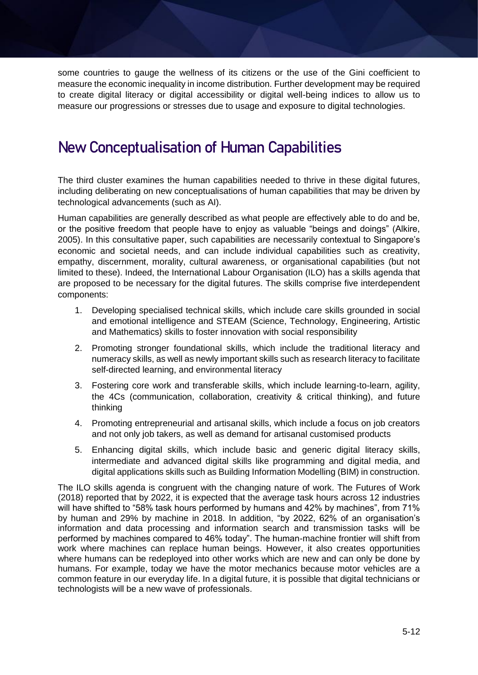some countries to gauge the wellness of its citizens or the use of the Gini coefficient to measure the economic inequality in income distribution. Further development may be required to create digital literacy or digital accessibility or digital well-being indices to allow us to measure our progressions or stresses due to usage and exposure to digital technologies.

### **New Conceptualisation of Human Capabilities**

The third cluster examines the human capabilities needed to thrive in these digital futures, including deliberating on new conceptualisations of human capabilities that may be driven by technological advancements (such as AI).

Human capabilities are generally described as what people are effectively able to do and be, or the positive freedom that people have to enjoy as valuable "beings and doings" (Alkire, 2005). In this consultative paper, such capabilities are necessarily contextual to Singapore's economic and societal needs, and can include individual capabilities such as creativity, empathy, discernment, morality, cultural awareness, or organisational capabilities (but not limited to these). Indeed, the International Labour Organisation (ILO) has a skills agenda that are proposed to be necessary for the digital futures. The skills comprise five interdependent components:

- 1. Developing specialised technical skills, which include care skills grounded in social and emotional intelligence and STEAM (Science, Technology, Engineering, Artistic and Mathematics) skills to foster innovation with social responsibility
- 2. Promoting stronger foundational skills, which include the traditional literacy and numeracy skills, as well as newly important skills such as research literacy to facilitate self-directed learning, and environmental literacy
- 3. Fostering core work and transferable skills, which include learning-to-learn, agility, the 4Cs (communication, collaboration, creativity & critical thinking), and future thinking
- 4. Promoting entrepreneurial and artisanal skills, which include a focus on job creators and not only job takers, as well as demand for artisanal customised products
- 5. Enhancing digital skills, which include basic and generic digital literacy skills, intermediate and advanced digital skills like programming and digital media, and digital applications skills such as Building Information Modelling (BIM) in construction.

The ILO skills agenda is congruent with the changing nature of work. The Futures of Work (2018) reported that by 2022, it is expected that the average task hours across 12 industries will have shifted to "58% task hours performed by humans and 42% by machines", from 71% by human and 29% by machine in 2018. In addition, "by 2022, 62% of an organisation's information and data processing and information search and transmission tasks will be performed by machines compared to 46% today". The human-machine frontier will shift from work where machines can replace human beings. However, it also creates opportunities where humans can be redeployed into other works which are new and can only be done by humans. For example, today we have the motor mechanics because motor vehicles are a common feature in our everyday life. In a digital future, it is possible that digital technicians or technologists will be a new wave of professionals.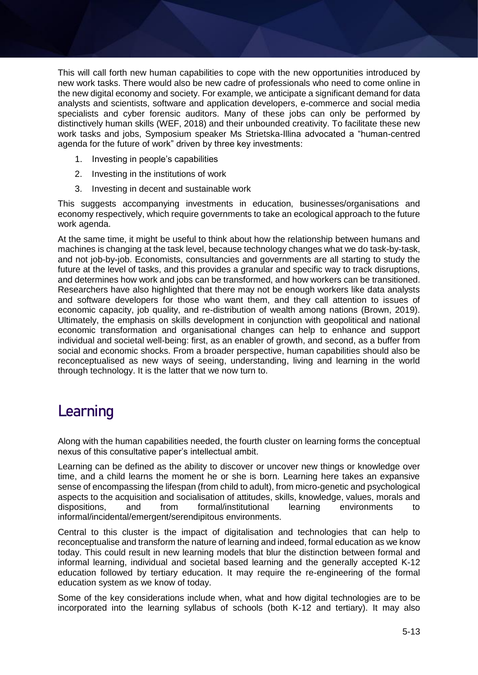This will call forth new human capabilities to cope with the new opportunities introduced by new work tasks. There would also be new cadre of professionals who need to come online in the new digital economy and society. For example, we anticipate a significant demand for data analysts and scientists, software and application developers, e-commerce and social media specialists and cyber forensic auditors. Many of these jobs can only be performed by distinctively human skills (WEF, 2018) and their unbounded creativity. To facilitate these new work tasks and jobs, Symposium speaker Ms Strietska-Illina advocated a "human-centred agenda for the future of work" driven by three key investments:

- 1. Investing in people's capabilities
- 2. Investing in the institutions of work
- 3. Investing in decent and sustainable work

This suggests accompanying investments in education, businesses/organisations and economy respectively, which require governments to take an ecological approach to the future work agenda.

At the same time, it might be useful to think about how the relationship between humans and machines is changing at the task level, because technology changes what we do task-by-task, and not job-by-job. Economists, consultancies and governments are all starting to study the future at the level of tasks, and this provides a granular and specific way to track disruptions, and determines how work and jobs can be transformed, and how workers can be transitioned. Researchers have also highlighted that there may not be enough workers like data analysts and software developers for those who want them, and they call attention to issues of economic capacity, job quality, and re-distribution of wealth among nations (Brown, 2019). Ultimately, the emphasis on skills development in conjunction with geopolitical and national economic transformation and organisational changes can help to enhance and support individual and societal well-being: first, as an enabler of growth, and second, as a buffer from social and economic shocks. From a broader perspective, human capabilities should also be reconceptualised as new ways of seeing, understanding, living and learning in the world through technology. It is the latter that we now turn to.

### **Learning**

Along with the human capabilities needed, the fourth cluster on learning forms the conceptual nexus of this consultative paper's intellectual ambit.

Learning can be defined as the ability to discover or uncover new things or knowledge over time, and a child learns the moment he or she is born. Learning here takes an expansive sense of encompassing the lifespan (from child to adult), from micro-genetic and psychological aspects to the acquisition and socialisation of attitudes, skills, knowledge, values, morals and dispositions, and from formal/institutional learning environments to informal/incidental/emergent/serendipitous environments.

Central to this cluster is the impact of digitalisation and technologies that can help to reconceptualise and transform the nature of learning and indeed, formal education as we know today. This could result in new learning models that blur the distinction between formal and informal learning, individual and societal based learning and the generally accepted K-12 education followed by tertiary education. It may require the re-engineering of the formal education system as we know of today.

Some of the key considerations include when, what and how digital technologies are to be incorporated into the learning syllabus of schools (both K-12 and tertiary). It may also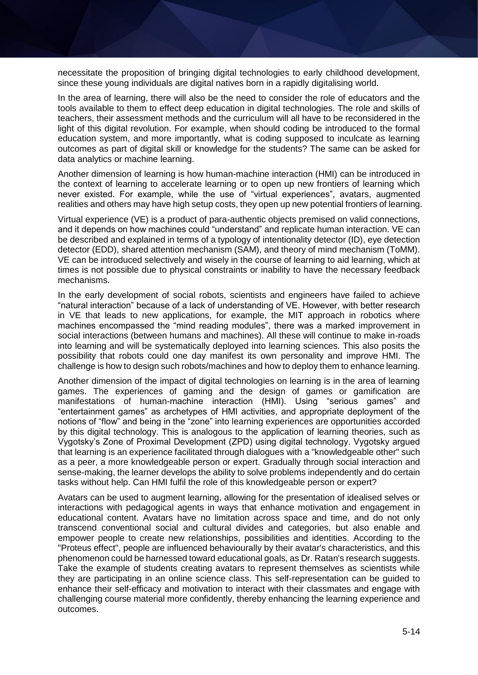necessitate the proposition of bringing digital technologies to early childhood development, since these young individuals are digital natives born in a rapidly digitalising world.

In the area of learning, there will also be the need to consider the role of educators and the tools available to them to effect deep education in digital technologies. The role and skills of teachers, their assessment methods and the curriculum will all have to be reconsidered in the light of this digital revolution. For example, when should coding be introduced to the formal education system, and more importantly, what is coding supposed to inculcate as learning outcomes as part of digital skill or knowledge for the students? The same can be asked for data analytics or machine learning.

Another dimension of learning is how human-machine interaction (HMI) can be introduced in the context of learning to accelerate learning or to open up new frontiers of learning which never existed. For example, while the use of "virtual experiences", avatars, augmented realities and others may have high setup costs, they open up new potential frontiers of learning.

Virtual experience (VE) is a product of para-authentic objects premised on valid connections, and it depends on how machines could "understand" and replicate human interaction. VE can be described and explained in terms of a typology of intentionality detector (ID), eye detection detector (EDD), shared attention mechanism (SAM), and theory of mind mechanism (ToMM). VE can be introduced selectively and wisely in the course of learning to aid learning, which at times is not possible due to physical constraints or inability to have the necessary feedback mechanisms.

In the early development of social robots, scientists and engineers have failed to achieve "natural interaction" because of a lack of understanding of VE. However, with better research in VE that leads to new applications, for example, the MIT approach in robotics where machines encompassed the "mind reading modules", there was a marked improvement in social interactions (between humans and machines). All these will continue to make in-roads into learning and will be systematically deployed into learning sciences. This also posits the possibility that robots could one day manifest its own personality and improve HMI. The challenge is how to design such robots/machines and how to deploy them to enhance learning.

Another dimension of the impact of digital technologies on learning is in the area of learning games. The experiences of gaming and the design of games or gamification are manifestations of human-machine interaction (HMI). Using "serious games" and "entertainment games" as archetypes of HMI activities, and appropriate deployment of the notions of "flow" and being in the "zone" into learning experiences are opportunities accorded by this digital technology. This is analogous to the application of learning theories, such as Vygotsky's Zone of Proximal Development (ZPD) using digital technology. Vygotsky argued that learning is an experience facilitated through dialogues with a "knowledgeable other" such as a peer, a more knowledgeable person or expert. Gradually through social interaction and sense-making, the learner develops the ability to solve problems independently and do certain tasks without help. Can HMI fulfil the role of this knowledgeable person or expert?

Avatars can be used to augment learning, allowing for the presentation of idealised selves or interactions with pedagogical agents in ways that enhance motivation and engagement in educational content. Avatars have no limitation across space and time, and do not only transcend conventional social and cultural divides and categories, but also enable and empower people to create new relationships, possibilities and identities. According to the "Proteus effect", people are influenced behaviourally by their avatar's characteristics, and this phenomenon could be harnessed toward educational goals, as Dr. Ratan's research suggests. Take the example of students creating avatars to represent themselves as scientists while they are participating in an online science class. This self-representation can be guided to enhance their self-efficacy and motivation to interact with their classmates and engage with challenging course material more confidently, thereby enhancing the learning experience and outcomes.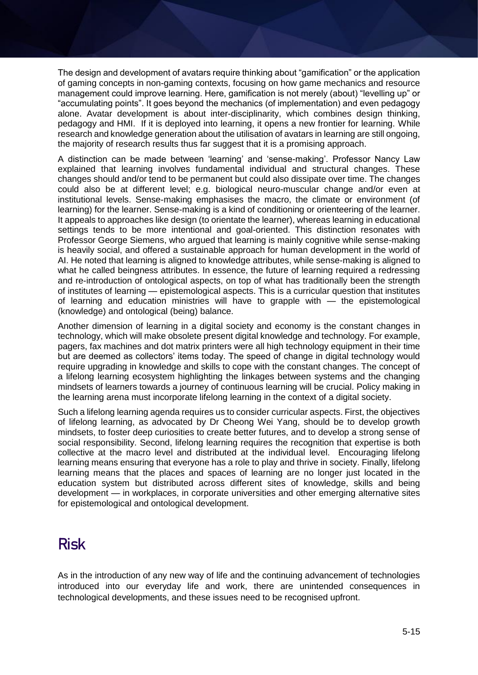The design and development of avatars require thinking about "gamification" or the application of gaming concepts in non-gaming contexts, focusing on how game mechanics and resource management could improve learning. Here, gamification is not merely (about) "levelling up" or "accumulating points". It goes beyond the mechanics (of implementation) and even pedagogy alone. Avatar development is about inter-disciplinarity, which combines design thinking, pedagogy and HMI. If it is deployed into learning, it opens a new frontier for learning. While research and knowledge generation about the utilisation of avatars in learning are still ongoing, the majority of research results thus far suggest that it is a promising approach.

A distinction can be made between 'learning' and 'sense-making'. Professor Nancy Law explained that learning involves fundamental individual and structural changes. These changes should and/or tend to be permanent but could also dissipate over time. The changes could also be at different level; e.g. biological neuro-muscular change and/or even at institutional levels. Sense-making emphasises the macro, the climate or environment (of learning) for the learner. Sense-making is a kind of conditioning or orienteering of the learner. It appeals to approaches like design (to orientate the learner), whereas learning in educational settings tends to be more intentional and goal-oriented. This distinction resonates with Professor George Siemens, who argued that learning is mainly cognitive while sense-making is heavily social, and offered a sustainable approach for human development in the world of AI. He noted that learning is aligned to knowledge attributes, while sense-making is aligned to what he called beingness attributes. In essence, the future of learning required a redressing and re-introduction of ontological aspects, on top of what has traditionally been the strength of institutes of learning — epistemological aspects. This is a curricular question that institutes of learning and education ministries will have to grapple with — the epistemological (knowledge) and ontological (being) balance.

Another dimension of learning in a digital society and economy is the constant changes in technology, which will make obsolete present digital knowledge and technology. For example, pagers, fax machines and dot matrix printers were all high technology equipment in their time but are deemed as collectors' items today. The speed of change in digital technology would require upgrading in knowledge and skills to cope with the constant changes. The concept of a lifelong learning ecosystem highlighting the linkages between systems and the changing mindsets of learners towards a journey of continuous learning will be crucial. Policy making in the learning arena must incorporate lifelong learning in the context of a digital society.

Such a lifelong learning agenda requires us to consider curricular aspects. First, the objectives of lifelong learning, as advocated by Dr Cheong Wei Yang, should be to develop growth mindsets, to foster deep curiosities to create better futures, and to develop a strong sense of social responsibility. Second, lifelong learning requires the recognition that expertise is both collective at the macro level and distributed at the individual level. Encouraging lifelong learning means ensuring that everyone has a role to play and thrive in society. Finally, lifelong learning means that the places and spaces of learning are no longer just located in the education system but distributed across different sites of knowledge, skills and being development — in workplaces, in corporate universities and other emerging alternative sites for epistemological and ontological development.

### **Risk**

As in the introduction of any new way of life and the continuing advancement of technologies introduced into our everyday life and work, there are unintended consequences in technological developments, and these issues need to be recognised upfront.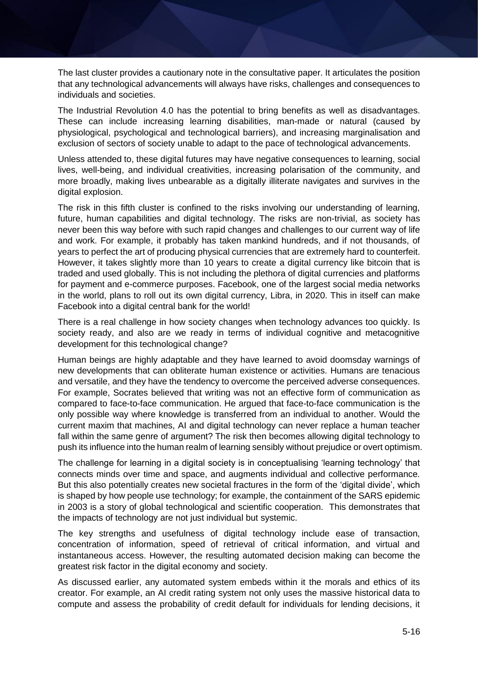The last cluster provides a cautionary note in the consultative paper. It articulates the position that any technological advancements will always have risks, challenges and consequences to individuals and societies.

The Industrial Revolution 4.0 has the potential to bring benefits as well as disadvantages. These can include increasing learning disabilities, man-made or natural (caused by physiological, psychological and technological barriers), and increasing marginalisation and exclusion of sectors of society unable to adapt to the pace of technological advancements.

Unless attended to, these digital futures may have negative consequences to learning, social lives, well-being, and individual creativities, increasing polarisation of the community, and more broadly, making lives unbearable as a digitally illiterate navigates and survives in the digital explosion.

The risk in this fifth cluster is confined to the risks involving our understanding of learning, future, human capabilities and digital technology. The risks are non-trivial, as society has never been this way before with such rapid changes and challenges to our current way of life and work. For example, it probably has taken mankind hundreds, and if not thousands, of years to perfect the art of producing physical currencies that are extremely hard to counterfeit. However, it takes slightly more than 10 years to create a digital currency like bitcoin that is traded and used globally. This is not including the plethora of digital currencies and platforms for payment and e-commerce purposes. Facebook, one of the largest social media networks in the world, plans to roll out its own digital currency, Libra, in 2020. This in itself can make Facebook into a digital central bank for the world!

There is a real challenge in how society changes when technology advances too quickly. Is society ready, and also are we ready in terms of individual cognitive and metacognitive development for this technological change?

Human beings are highly adaptable and they have learned to avoid doomsday warnings of new developments that can obliterate human existence or activities. Humans are tenacious and versatile, and they have the tendency to overcome the perceived adverse consequences. For example, Socrates believed that writing was not an effective form of communication as compared to face-to-face communication. He argued that face-to-face communication is the only possible way where knowledge is transferred from an individual to another. Would the current maxim that machines, AI and digital technology can never replace a human teacher fall within the same genre of argument? The risk then becomes allowing digital technology to push its influence into the human realm of learning sensibly without prejudice or overt optimism.

The challenge for learning in a digital society is in conceptualising 'learning technology' that connects minds over time and space, and augments individual and collective performance. But this also potentially creates new societal fractures in the form of the 'digital divide', which is shaped by how people use technology; for example, the containment of the SARS epidemic in 2003 is a story of global technological and scientific cooperation. This demonstrates that the impacts of technology are not just individual but systemic.

The key strengths and usefulness of digital technology include ease of transaction, concentration of information, speed of retrieval of critical information, and virtual and instantaneous access. However, the resulting automated decision making can become the greatest risk factor in the digital economy and society.

As discussed earlier, any automated system embeds within it the morals and ethics of its creator. For example, an AI credit rating system not only uses the massive historical data to compute and assess the probability of credit default for individuals for lending decisions, it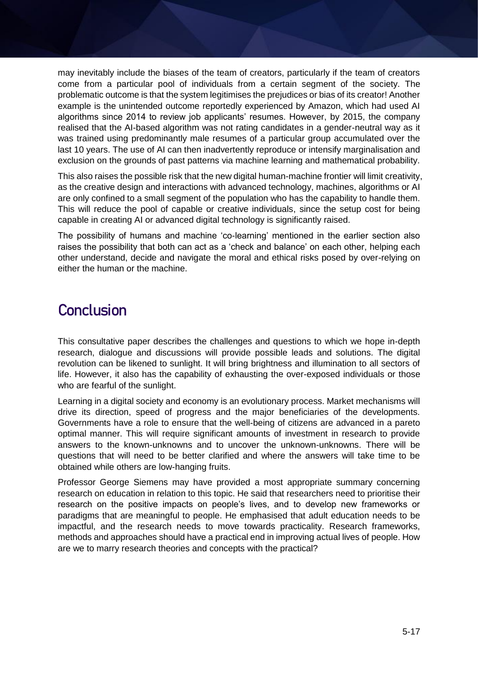may inevitably include the biases of the team of creators, particularly if the team of creators come from a particular pool of individuals from a certain segment of the society. The problematic outcome is that the system legitimises the prejudices or bias of its creator! Another example is the unintended outcome reportedly experienced by Amazon, which had used AI algorithms since 2014 to review job applicants' resumes. However, by 2015, the company realised that the AI-based algorithm was not rating candidates in a gender-neutral way as it was trained using predominantly male resumes of a particular group accumulated over the last 10 years. The use of AI can then inadvertently reproduce or intensify marginalisation and exclusion on the grounds of past patterns via machine learning and mathematical probability.

This also raises the possible risk that the new digital human-machine frontier will limit creativity, as the creative design and interactions with advanced technology, machines, algorithms or AI are only confined to a small segment of the population who has the capability to handle them. This will reduce the pool of capable or creative individuals, since the setup cost for being capable in creating AI or advanced digital technology is significantly raised.

The possibility of humans and machine 'co-learning' mentioned in the earlier section also raises the possibility that both can act as a 'check and balance' on each other, helping each other understand, decide and navigate the moral and ethical risks posed by over-relying on either the human or the machine.

### **Conclusion**

This consultative paper describes the challenges and questions to which we hope in-depth research, dialogue and discussions will provide possible leads and solutions. The digital revolution can be likened to sunlight. It will bring brightness and illumination to all sectors of life. However, it also has the capability of exhausting the over-exposed individuals or those who are fearful of the sunlight.

Learning in a digital society and economy is an evolutionary process. Market mechanisms will drive its direction, speed of progress and the major beneficiaries of the developments. Governments have a role to ensure that the well-being of citizens are advanced in a pareto optimal manner. This will require significant amounts of investment in research to provide answers to the known-unknowns and to uncover the unknown-unknowns. There will be questions that will need to be better clarified and where the answers will take time to be obtained while others are low-hanging fruits.

Professor George Siemens may have provided a most appropriate summary concerning research on education in relation to this topic. He said that researchers need to prioritise their research on the positive impacts on people's lives, and to develop new frameworks or paradigms that are meaningful to people. He emphasised that adult education needs to be impactful, and the research needs to move towards practicality. Research frameworks, methods and approaches should have a practical end in improving actual lives of people. How are we to marry research theories and concepts with the practical?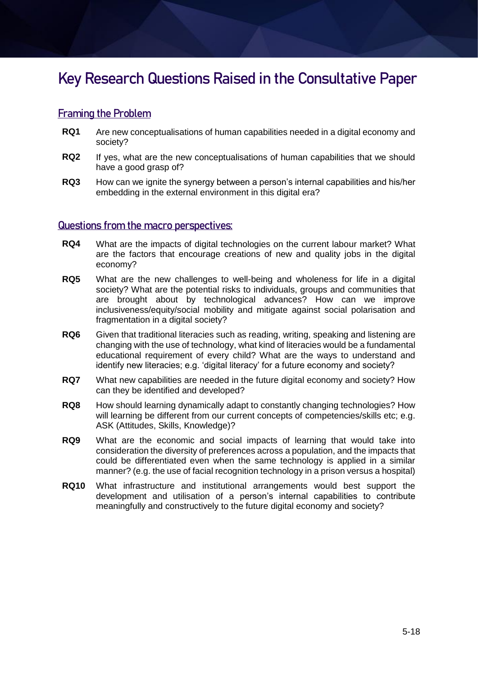### **Key Research Questions Raised in the Consultative Paper**

#### Framing the Problem

- **RQ1** Are new conceptualisations of human capabilities needed in a digital economy and society?
- **RQ2** If yes, what are the new conceptualisations of human capabilities that we should have a good grasp of?
- **RQ3** How can we ignite the synergy between a person's internal capabilities and his/her embedding in the external environment in this digital era?

#### Questions from the macro perspectives:

- **RQ4** What are the impacts of digital technologies on the current labour market? What are the factors that encourage creations of new and quality jobs in the digital economy?
- **RQ5** What are the new challenges to well-being and wholeness for life in a digital society? What are the potential risks to individuals, groups and communities that are brought about by technological advances? How can we improve inclusiveness/equity/social mobility and mitigate against social polarisation and fragmentation in a digital society?
- **RQ6** Given that traditional literacies such as reading, writing, speaking and listening are changing with the use of technology, what kind of literacies would be a fundamental educational requirement of every child? What are the ways to understand and identify new literacies; e.g. 'digital literacy' for a future economy and society?
- **RQ7** What new capabilities are needed in the future digital economy and society? How can they be identified and developed?
- **RQ8** How should learning dynamically adapt to constantly changing technologies? How will learning be different from our current concepts of competencies/skills etc; e.g. ASK (Attitudes, Skills, Knowledge)?
- **RQ9** What are the economic and social impacts of learning that would take into consideration the diversity of preferences across a population, and the impacts that could be differentiated even when the same technology is applied in a similar manner? (e.g. the use of facial recognition technology in a prison versus a hospital)
- **RQ10** What infrastructure and institutional arrangements would best support the development and utilisation of a person's internal capabilities to contribute meaningfully and constructively to the future digital economy and society?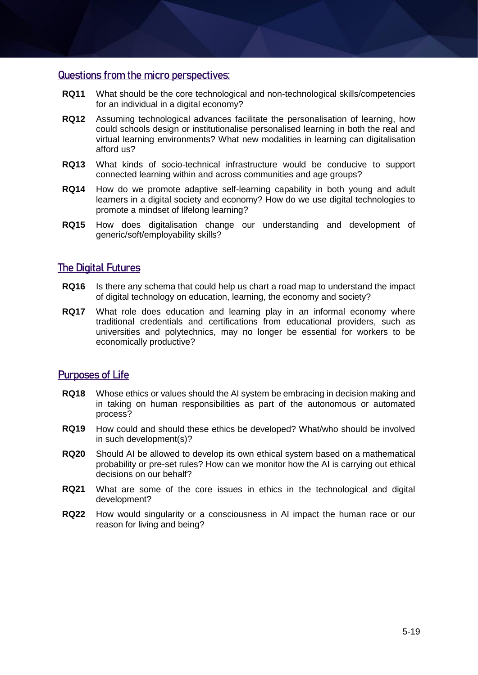#### Questions from the micro perspectives:

- **RQ11** What should be the core technological and non-technological skills/competencies for an individual in a digital economy?
- **RQ12** Assuming technological advances facilitate the personalisation of learning, how could schools design or institutionalise personalised learning in both the real and virtual learning environments? What new modalities in learning can digitalisation afford us?
- **RQ13** What kinds of socio-technical infrastructure would be conducive to support connected learning within and across communities and age groups?
- **RQ14** How do we promote adaptive self-learning capability in both young and adult learners in a digital society and economy? How do we use digital technologies to promote a mindset of lifelong learning?
- **RQ15** How does digitalisation change our understanding and development of generic/soft/employability skills?

#### The Digital Futures

- **RQ16** Is there any schema that could help us chart a road map to understand the impact of digital technology on education, learning, the economy and society?
- **RQ17** What role does education and learning play in an informal economy where traditional credentials and certifications from educational providers, such as universities and polytechnics, may no longer be essential for workers to be economically productive?

#### Purposes of Life

- **RQ18** Whose ethics or values should the AI system be embracing in decision making and in taking on human responsibilities as part of the autonomous or automated process?
- **RQ19** How could and should these ethics be developed? What/who should be involved in such development(s)?
- **RQ20** Should AI be allowed to develop its own ethical system based on a mathematical probability or pre-set rules? How can we monitor how the AI is carrying out ethical decisions on our behalf?
- **RQ21** What are some of the core issues in ethics in the technological and digital development?
- **RQ22** How would singularity or a consciousness in AI impact the human race or our reason for living and being?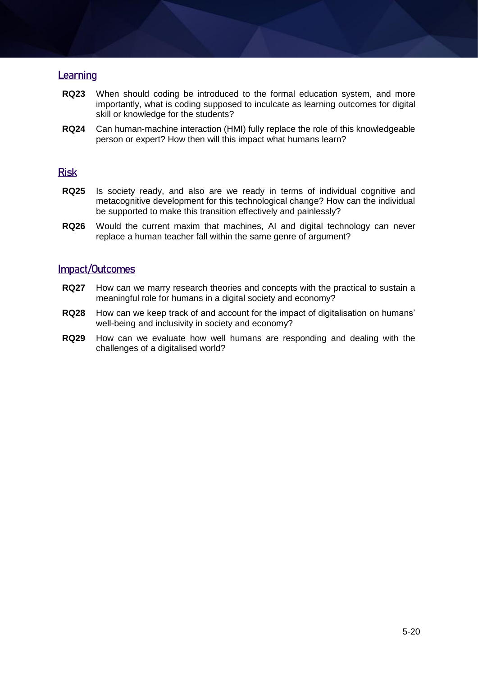#### **Learning**

- **RQ23** When should coding be introduced to the formal education system, and more importantly, what is coding supposed to inculcate as learning outcomes for digital skill or knowledge for the students?
- **RQ24** Can human-machine interaction (HMI) fully replace the role of this knowledgeable person or expert? How then will this impact what humans learn?

#### Risk

- **RQ25** Is society ready, and also are we ready in terms of individual cognitive and metacognitive development for this technological change? How can the individual be supported to make this transition effectively and painlessly?
- **RQ26** Would the current maxim that machines, AI and digital technology can never replace a human teacher fall within the same genre of argument?

#### Impact/Outcomes

- **RQ27** How can we marry research theories and concepts with the practical to sustain a meaningful role for humans in a digital society and economy?
- **RQ28** How can we keep track of and account for the impact of digitalisation on humans' well-being and inclusivity in society and economy?
- **RQ29** How can we evaluate how well humans are responding and dealing with the challenges of a digitalised world?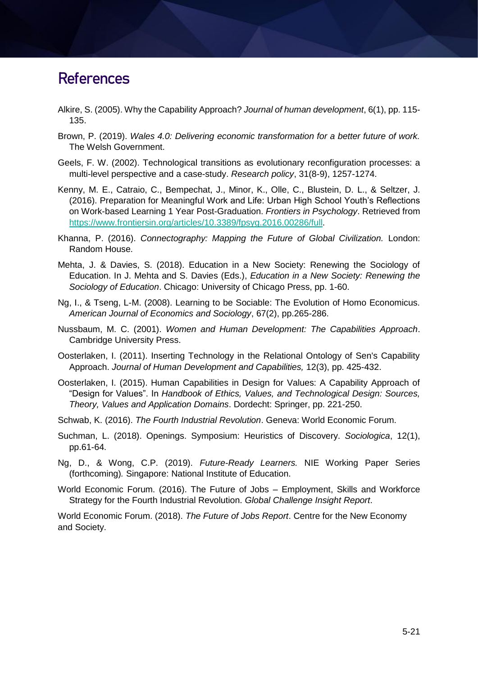### **References**

- Alkire, S. (2005). Why the Capability Approach? *Journal of human development*, 6(1), pp. 115- 135.
- Brown, P. (2019). *Wales 4.0: Delivering economic transformation for a better future of work.* The Welsh Government.
- Geels, F. W. (2002). Technological transitions as evolutionary reconfiguration processes: a multi-level perspective and a case-study. *Research policy*, 31(8-9), 1257-1274.
- Kenny, M. E., Catraio, C., Bempechat, J., Minor, K., Olle, C., Blustein, D. L., & Seltzer, J. (2016). Preparation for Meaningful Work and Life: Urban High School Youth's Reflections on Work-based Learning 1 Year Post-Graduation. *Frontiers in Psychology*. Retrieved from [https://www.frontiersin.org/articles/10.3389/fpsyg.2016.00286/full.](https://www.frontiersin.org/articles/10.3389/fpsyg.2016.00286/full)
- Khanna, P. (2016). *Connectography: Mapping the Future of Global Civilization.* London: Random House.
- Mehta, J. & Davies, S. (2018). Education in a New Society: Renewing the Sociology of Education. In J. Mehta and S. Davies (Eds.), *Education in a New Society: Renewing the Sociology of Education*. Chicago: University of Chicago Press, pp. 1-60.
- Ng, I., & Tseng, L-M. (2008). Learning to be Sociable: The Evolution of Homo Economicus. *American Journal of Economics and Sociology*, 67(2), pp.265-286.
- Nussbaum, M. C. (2001). *Women and Human Development: The Capabilities Approach*. Cambridge University Press.
- Oosterlaken, I. (2011). Inserting Technology in the Relational Ontology of Sen's Capability Approach. *Journal of Human Development and Capabilities,* 12(3), pp. 425-432.
- Oosterlaken, I. (2015). Human Capabilities in Design for Values: A Capability Approach of "Design for Values". In *Handbook of Ethics, Values, and Technological Design: Sources, Theory, Values and Application Domains*. Dordecht: Springer, pp. 221-250.
- Schwab, K. (2016). *The Fourth Industrial Revolution*. Geneva: World Economic Forum.
- Suchman, L. (2018). Openings. Symposium: Heuristics of Discovery. *Sociologica*, 12(1), pp.61-64.
- Ng, D., & Wong, C.P. (2019). *Future-Ready Learners.* NIE Working Paper Series (forthcoming)*.* Singapore: National Institute of Education.
- World Economic Forum. (2016). The Future of Jobs Employment, Skills and Workforce Strategy for the Fourth Industrial Revolution. *Global Challenge Insight Report*.

World Economic Forum. (2018). *The Future of Jobs Report*. Centre for the New Economy and Society.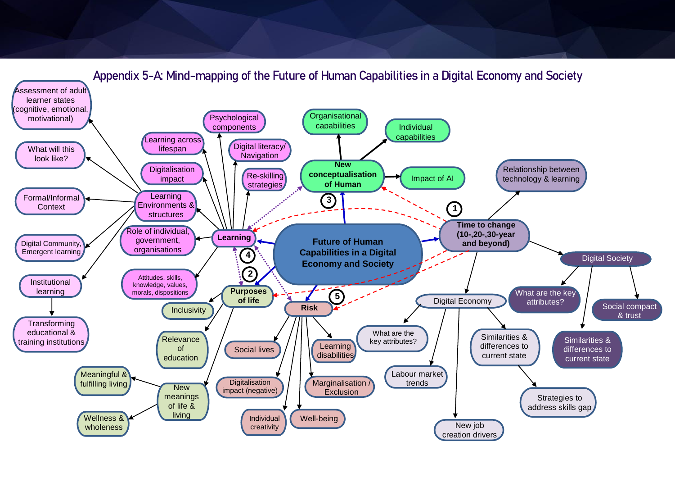

**Appendix 5-A: Mind-mapping of the Future of Human Capabilities in a Digital Economy and Society**